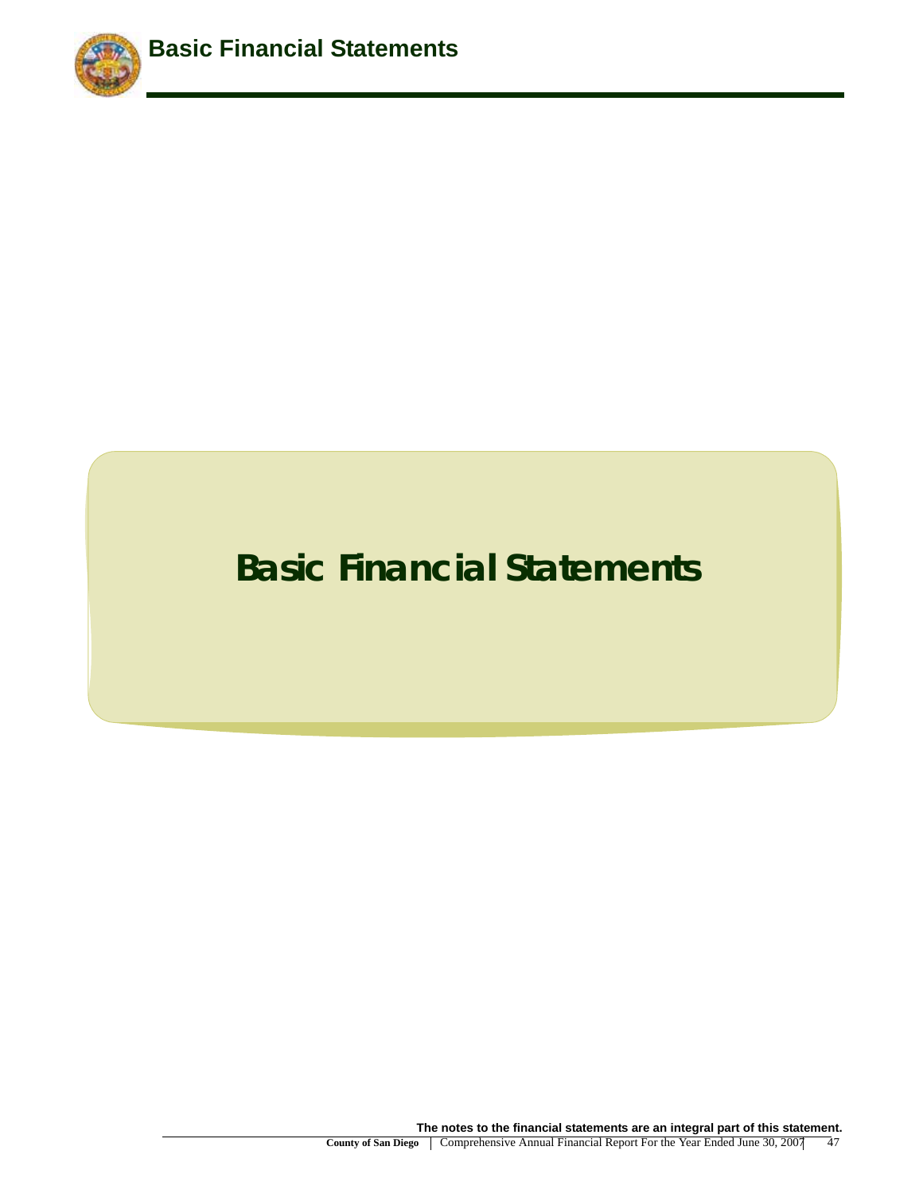

# **Basic Financial Statements**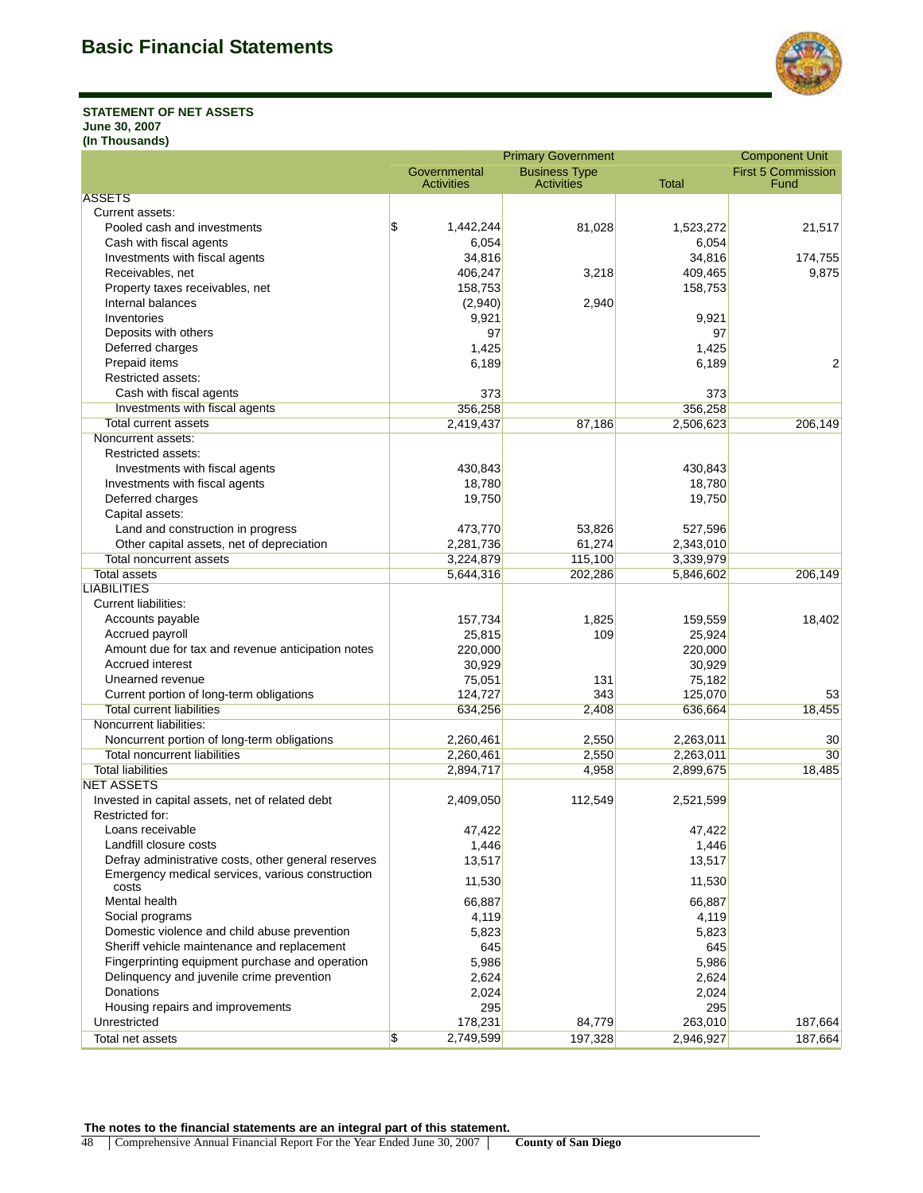

Component Unit

# **STATEMENT OF NET ASSETS**

**June 30, 2007 (In Thousands)**

|                                                           |                                   | Filindiy Government                       |              | <b>COMPONEM ONIL</b>              |
|-----------------------------------------------------------|-----------------------------------|-------------------------------------------|--------------|-----------------------------------|
|                                                           | Governmental<br><b>Activities</b> | <b>Business Type</b><br><b>Activities</b> | <b>Total</b> | <b>First 5 Commission</b><br>Fund |
| <b>ASSETS</b>                                             |                                   |                                           |              |                                   |
| Current assets:                                           |                                   |                                           |              |                                   |
| Pooled cash and investments                               | \$<br>1,442,244                   | 81,028                                    | 1,523,272    | 21,517                            |
| Cash with fiscal agents                                   | 6,054                             |                                           | 6,054        |                                   |
| Investments with fiscal agents                            | 34,816                            |                                           | 34,816       | 174,755                           |
| Receivables, net                                          | 406,247                           | 3,218                                     | 409,465      | 9,875                             |
| Property taxes receivables, net                           | 158,753                           |                                           | 158,753      |                                   |
| Internal balances                                         | (2,940)                           | 2,940                                     |              |                                   |
| Inventories                                               | 9,921                             |                                           | 9,921        |                                   |
| Deposits with others                                      | 97                                |                                           | 97           |                                   |
| Deferred charges                                          | 1,425                             |                                           | 1,425        |                                   |
| Prepaid items                                             | 6,189                             |                                           | 6,189        | 2                                 |
| Restricted assets:                                        |                                   |                                           |              |                                   |
| Cash with fiscal agents                                   | 373                               |                                           | 373          |                                   |
| Investments with fiscal agents                            | 356,258                           |                                           | 356,258      |                                   |
| Total current assets                                      | 2,419,437                         | 87,186                                    | 2,506,623    | 206,149                           |
| Noncurrent assets:                                        |                                   |                                           |              |                                   |
| Restricted assets:                                        |                                   |                                           |              |                                   |
| Investments with fiscal agents                            | 430,843                           |                                           | 430,843      |                                   |
| Investments with fiscal agents                            | 18,780                            |                                           | 18,780       |                                   |
| Deferred charges                                          | 19,750                            |                                           | 19,750       |                                   |
|                                                           |                                   |                                           |              |                                   |
| Capital assets:                                           |                                   |                                           |              |                                   |
| Land and construction in progress                         | 473,770                           | 53,826                                    | 527,596      |                                   |
| Other capital assets, net of depreciation                 | 2,281,736                         | 61,274                                    | 2,343,010    |                                   |
| Total noncurrent assets                                   | 3,224,879                         | 115,100                                   | 3,339,979    |                                   |
| Total assets                                              | 5,644,316                         | 202,286                                   | 5,846,602    | 206,149                           |
| <b>LIABILITIES</b>                                        |                                   |                                           |              |                                   |
| Current liabilities:                                      |                                   |                                           |              |                                   |
| Accounts payable                                          | 157,734                           | 1,825                                     | 159,559      | 18,402                            |
| Accrued payroll                                           | 25,815                            | 109                                       | 25,924       |                                   |
| Amount due for tax and revenue anticipation notes         | 220,000                           |                                           | 220,000      |                                   |
| <b>Accrued interest</b>                                   | 30,929                            |                                           | 30,929       |                                   |
| Unearned revenue                                          | 75,051                            | 131                                       | 75,182       |                                   |
| Current portion of long-term obligations                  | 124,727                           | 343                                       | 125,070      | 53                                |
| <b>Total current liabilities</b>                          | 634,256                           | 2,408                                     | 636,664      | 18,455                            |
| Noncurrent liabilities:                                   |                                   |                                           |              |                                   |
| Noncurrent portion of long-term obligations               | 2,260,461                         | 2,550                                     | 2,263,011    | 30                                |
| <b>Total noncurrent liabilities</b>                       | 2,260,461                         | 2,550                                     | 2,263,011    | 30                                |
| <b>Total liabilities</b>                                  | 2,894,717                         | 4,958                                     | 2,899,675    | 18,485                            |
| <b>NET ASSETS</b>                                         |                                   |                                           |              |                                   |
| Invested in capital assets, net of related debt           | 2,409,050                         | 112,549                                   | 2,521,599    |                                   |
| Restricted for:                                           |                                   |                                           |              |                                   |
| Loans receivable                                          | 47,422                            |                                           | 47,422       |                                   |
| Landfill closure costs                                    | 1,446                             |                                           | 1,446        |                                   |
| Defray administrative costs, other general reserves       | 13,517                            |                                           | 13,517       |                                   |
| Emergency medical services, various construction<br>costs | 11,530                            |                                           | 11,530       |                                   |
| Mental health                                             | 66,887                            |                                           | 66,887       |                                   |
| Social programs                                           | 4,119                             |                                           | 4,119        |                                   |
| Domestic violence and child abuse prevention              | 5,823                             |                                           | 5,823        |                                   |
| Sheriff vehicle maintenance and replacement               | 645                               |                                           | 645          |                                   |
| Fingerprinting equipment purchase and operation           | 5,986                             |                                           | 5,986        |                                   |
| Delinquency and juvenile crime prevention                 | 2,624                             |                                           | 2,624        |                                   |
| Donations                                                 | 2,024                             |                                           | 2,024        |                                   |
| Housing repairs and improvements                          | 295                               |                                           | 295          |                                   |
| Unrestricted                                              | 178,231                           | 84,779                                    | 263,010      | 187,664                           |
| Total net assets                                          | \$<br>2,749,599                   | 197,328                                   | 2,946,927    | 187,664                           |
|                                                           |                                   |                                           |              |                                   |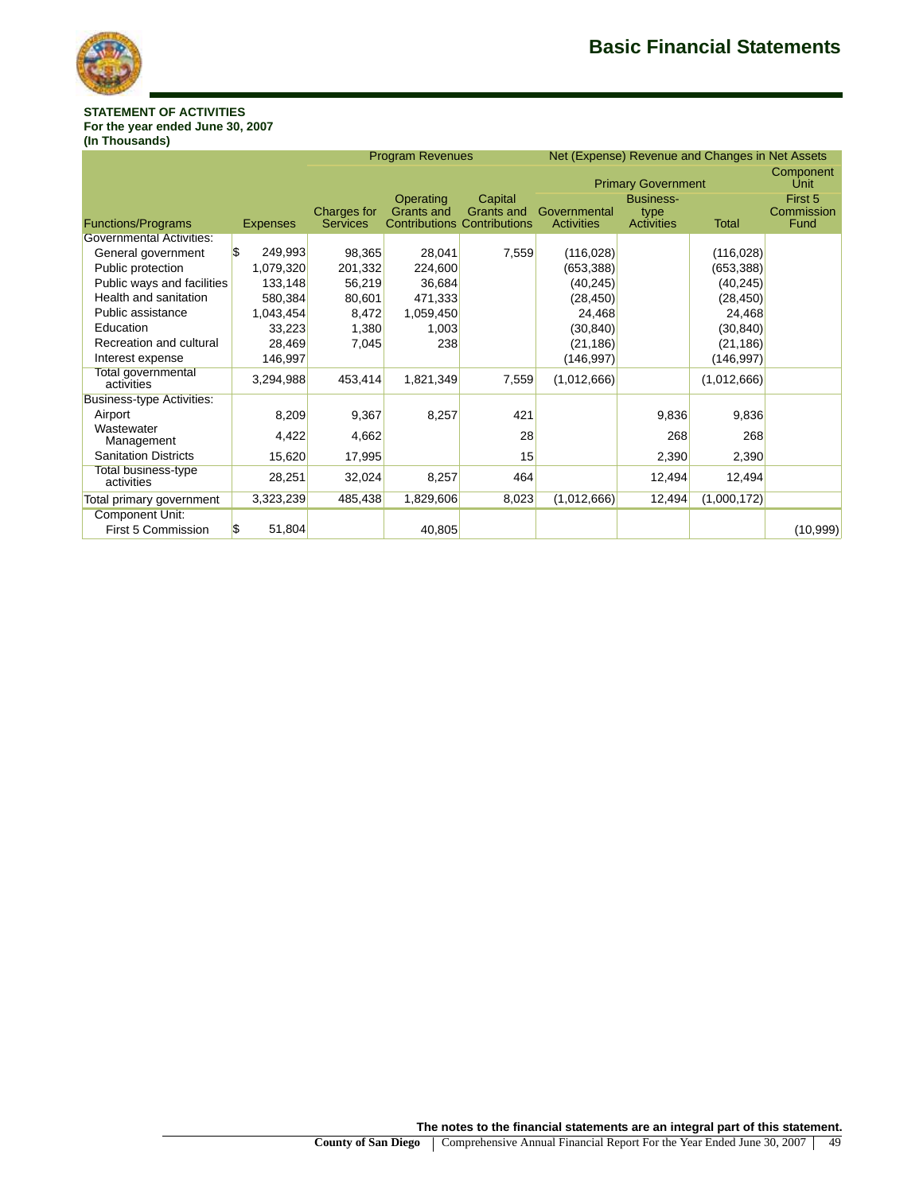

## **STATEMENT OF ACTIVITIES For the year ended June 30, 2007 (In Thousands)**

|                                   |                         |                 | <b>Program Revenues</b>        |                                    | Net (Expense) Revenue and Changes in Net Assets |                           |              |                       |
|-----------------------------------|-------------------------|-----------------|--------------------------------|------------------------------------|-------------------------------------------------|---------------------------|--------------|-----------------------|
|                                   |                         |                 |                                |                                    |                                                 | <b>Primary Government</b> |              |                       |
|                                   |                         | Charges for     | Operating<br><b>Grants and</b> | Capital<br>Grants and              | Governmental                                    | <b>Business-</b>          |              | First 5<br>Commission |
| <b>Functions/Programs</b>         | <b>Expenses</b>         | <b>Services</b> |                                | <b>Contributions Contributions</b> | <b>Activities</b>                               | type<br><b>Activities</b> | <b>Total</b> | Fund                  |
| <b>Governmental Activities:</b>   |                         |                 |                                |                                    |                                                 |                           |              |                       |
| General government                | $\mathbf{s}$<br>249,993 | 98,365          | 28,041                         | 7,559                              | (116, 028)                                      |                           | (116, 028)   |                       |
| Public protection                 | 1,079,320               | 201,332         | 224,600                        |                                    | (653, 388)                                      |                           | (653, 388)   |                       |
| Public ways and facilities        | 133,148                 | 56,219          | 36,684                         |                                    | (40, 245)                                       |                           | (40, 245)    |                       |
| Health and sanitation             | 580,384                 | 80,601          | 471,333                        |                                    | (28, 450)                                       |                           | (28, 450)    |                       |
| Public assistance                 | 1,043,454               | 8,472           | 1,059,450                      |                                    | 24,468                                          |                           | 24,468       |                       |
| Education                         | 33,223                  | 1,380           | 1,003                          |                                    | (30, 840)                                       |                           | (30, 840)    |                       |
| Recreation and cultural           | 28,469                  | 7,045           | 238                            |                                    | (21, 186)                                       |                           | (21, 186)    |                       |
| Interest expense                  | 146,997                 |                 |                                |                                    | (146, 997)                                      |                           | (146, 997)   |                       |
| Total governmental<br>activities  | 3,294,988               | 453,414         | 1,821,349                      | 7,559                              | (1,012,666)                                     |                           | (1,012,666)  |                       |
| Business-type Activities:         |                         |                 |                                |                                    |                                                 |                           |              |                       |
| Airport                           | 8,209                   | 9,367           | 8,257                          | 421                                |                                                 | 9,836                     | 9,836        |                       |
| Wastewater<br>Management          | 4,422                   | 4,662           |                                | 28                                 |                                                 | 268                       | 268          |                       |
| <b>Sanitation Districts</b>       | 15,620                  | 17,995          |                                | 15                                 |                                                 | 2,390                     | 2,390        |                       |
| Total business-type<br>activities | 28,251                  | 32,024          | 8,257                          | 464                                |                                                 | 12,494                    | 12,494       |                       |
| Total primary government          | 3,323,239               | 485,438         | 1,829,606                      | 8,023                              | (1,012,666)                                     | 12,494                    | (1,000,172)  |                       |
| <b>Component Unit:</b>            |                         |                 |                                |                                    |                                                 |                           |              |                       |
| First 5 Commission                | 51,804<br>S.            |                 | 40,805                         |                                    |                                                 |                           |              | (10, 999)             |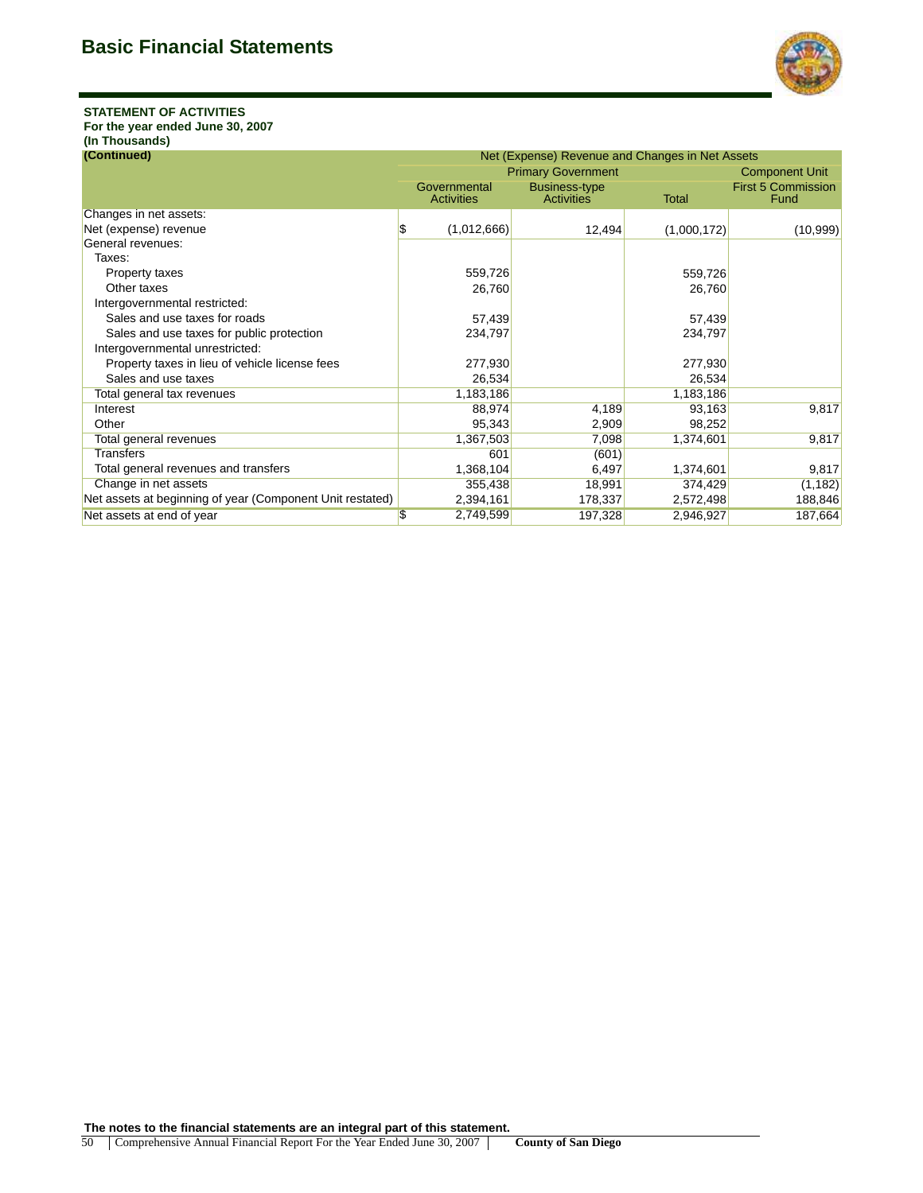

## **STATEMENT OF ACTIVITIES**

# **For the year ended June 30, 2007**

**(In Thousands)**

| (Continued)<br>Net (Expense) Revenue and Changes in Net Assets |    |                                   |                                           |              |                                          |
|----------------------------------------------------------------|----|-----------------------------------|-------------------------------------------|--------------|------------------------------------------|
|                                                                |    | <b>Primary Government</b>         | <b>Component Unit</b>                     |              |                                          |
|                                                                |    | Governmental<br><b>Activities</b> | <b>Business-type</b><br><b>Activities</b> | <b>Total</b> | <b>First 5 Commission</b><br><b>Fund</b> |
| Changes in net assets:                                         |    |                                   |                                           |              |                                          |
| Net (expense) revenue                                          |    | (1,012,666)                       | 12,494                                    | (1,000,172)  | (10, 999)                                |
| General revenues:                                              |    |                                   |                                           |              |                                          |
| Taxes:                                                         |    |                                   |                                           |              |                                          |
| Property taxes                                                 |    | 559,726                           |                                           | 559,726      |                                          |
| Other taxes                                                    |    | 26,760                            |                                           | 26,760       |                                          |
| Intergovernmental restricted:                                  |    |                                   |                                           |              |                                          |
| Sales and use taxes for roads                                  |    | 57,439                            |                                           | 57,439       |                                          |
| Sales and use taxes for public protection                      |    | 234,797                           |                                           | 234,797      |                                          |
| Intergovernmental unrestricted:                                |    |                                   |                                           |              |                                          |
| Property taxes in lieu of vehicle license fees                 |    | 277,930                           |                                           | 277,930      |                                          |
| Sales and use taxes                                            |    | 26,534                            |                                           | 26,534       |                                          |
| Total general tax revenues                                     |    | 1,183,186                         |                                           | 1,183,186    |                                          |
| Interest                                                       |    | 88,974                            | 4,189                                     | 93,163       | 9,817                                    |
| Other                                                          |    | 95,343                            | 2,909                                     | 98,252       |                                          |
| Total general revenues                                         |    | 1,367,503                         | 7,098                                     | 1,374,601    | 9,817                                    |
| <b>Transfers</b>                                               |    | 601                               | (601)                                     |              |                                          |
| Total general revenues and transfers                           |    | 1,368,104                         | 6,497                                     | 1,374,601    | 9,817                                    |
| Change in net assets                                           |    | 355,438                           | 18,991                                    | 374,429      | (1, 182)                                 |
| Net assets at beginning of year (Component Unit restated)      |    | 2,394,161                         | 178,337                                   | 2,572,498    | 188,846                                  |
| Net assets at end of year                                      | \$ | 2,749,599                         | 197,328                                   | 2,946,927    | 187,664                                  |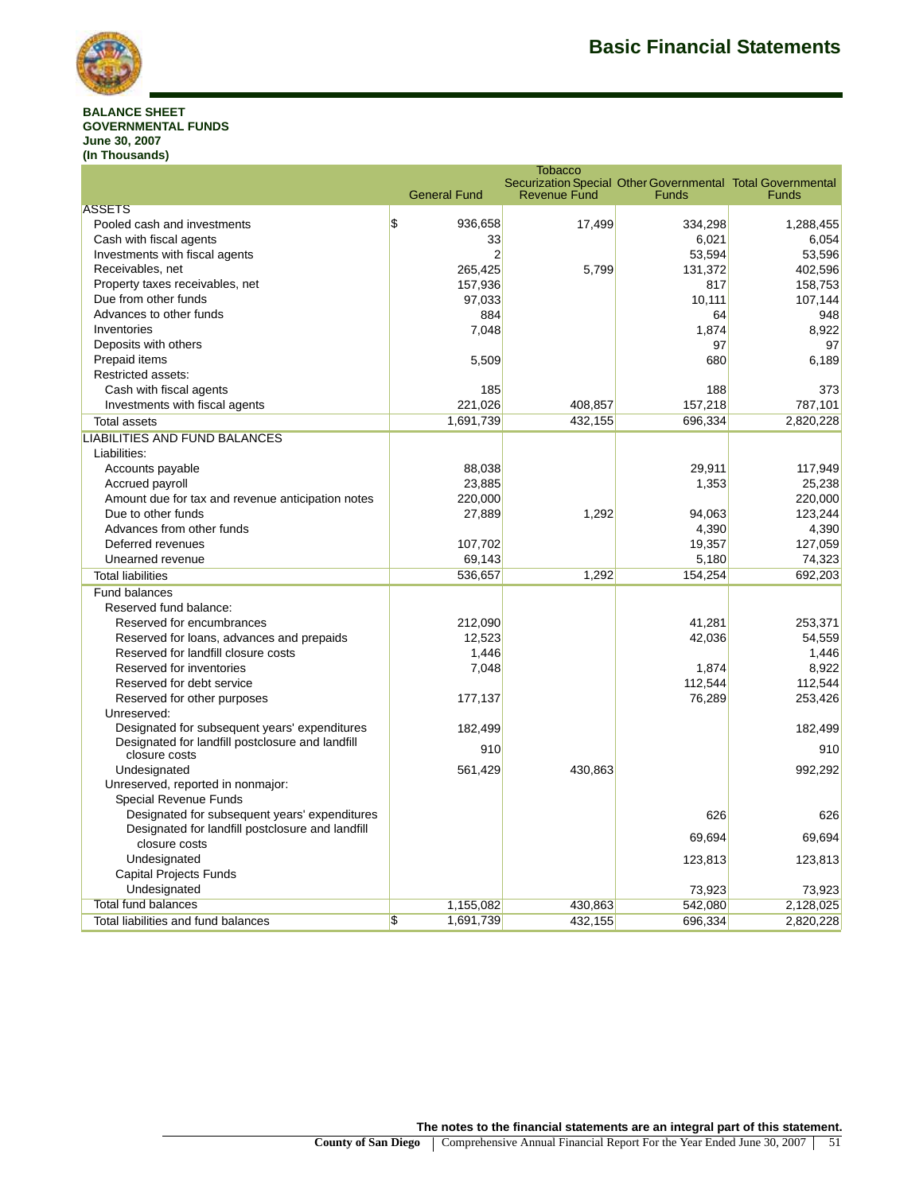

#### **BALANCE SHEET GOVERNMENTAL FUNDS June 30, 2007 (In Thousands)**

| <b>Tobacco</b><br>Securization Special Other Governmental Total Governmental |                                      |                     |              |           |  |  |
|------------------------------------------------------------------------------|--------------------------------------|---------------------|--------------|-----------|--|--|
|                                                                              | <b>General Fund</b>                  | <b>Revenue Fund</b> | <b>Funds</b> | Funds     |  |  |
| <b>ASSETS</b>                                                                |                                      |                     |              |           |  |  |
| Pooled cash and investments                                                  | \$<br>936,658                        | 17,499              | 334,298      | 1,288,455 |  |  |
| Cash with fiscal agents                                                      | 33                                   |                     | 6,021        | 6,054     |  |  |
| Investments with fiscal agents                                               | $\overline{2}$                       |                     | 53,594       | 53,596    |  |  |
| Receivables, net                                                             | 265,425                              | 5,799               | 131,372      | 402,596   |  |  |
| Property taxes receivables, net                                              | 157,936                              |                     | 817          | 158,753   |  |  |
| Due from other funds                                                         | 97,033                               |                     | 10,111       | 107,144   |  |  |
| Advances to other funds                                                      | 884                                  |                     | 64           | 948       |  |  |
| Inventories                                                                  | 7,048                                |                     | 1,874        | 8.922     |  |  |
| Deposits with others                                                         |                                      |                     | 97           | 97        |  |  |
| Prepaid items                                                                | 5,509                                |                     | 680          | 6,189     |  |  |
| Restricted assets:                                                           |                                      |                     |              |           |  |  |
| Cash with fiscal agents                                                      | 185                                  |                     | 188          | 373       |  |  |
| Investments with fiscal agents                                               | 221,026                              | 408,857             | 157,218      | 787,101   |  |  |
| Total assets                                                                 | 1,691,739                            | 432,155             | 696,334      | 2,820,228 |  |  |
|                                                                              |                                      |                     |              |           |  |  |
| LIABILITIES AND FUND BALANCES                                                |                                      |                     |              |           |  |  |
| Liabilities:                                                                 |                                      |                     |              |           |  |  |
| Accounts payable                                                             | 88,038                               |                     | 29,911       | 117,949   |  |  |
| Accrued payroll                                                              | 23,885                               |                     | 1,353        | 25,238    |  |  |
| Amount due for tax and revenue anticipation notes                            | 220,000                              |                     |              | 220,000   |  |  |
| Due to other funds                                                           | 27,889                               | 1,292               | 94,063       | 123,244   |  |  |
| Advances from other funds                                                    |                                      |                     | 4,390        | 4,390     |  |  |
| Deferred revenues                                                            | 107,702                              |                     | 19,357       | 127,059   |  |  |
| Unearned revenue                                                             | 69,143                               |                     | 5,180        | 74,323    |  |  |
| <b>Total liabilities</b>                                                     | 536,657                              | 1,292               | 154,254      | 692,203   |  |  |
| Fund balances                                                                |                                      |                     |              |           |  |  |
| Reserved fund balance:                                                       |                                      |                     |              |           |  |  |
| Reserved for encumbrances                                                    | 212,090                              |                     | 41.281       | 253,371   |  |  |
| Reserved for loans, advances and prepaids                                    | 12,523                               |                     | 42,036       | 54,559    |  |  |
| Reserved for landfill closure costs                                          | 1,446                                |                     |              | 1,446     |  |  |
| Reserved for inventories                                                     | 7,048                                |                     | 1,874        | 8,922     |  |  |
| Reserved for debt service                                                    |                                      |                     | 112,544      | 112,544   |  |  |
| Reserved for other purposes                                                  | 177,137                              |                     | 76,289       | 253,426   |  |  |
| Unreserved:                                                                  |                                      |                     |              |           |  |  |
| Designated for subsequent years' expenditures                                | 182,499                              |                     |              | 182,499   |  |  |
| Designated for landfill postclosure and landfill<br>closure costs            | 910                                  |                     |              | 910       |  |  |
| Undesignated                                                                 | 561,429                              | 430,863             |              | 992,292   |  |  |
| Unreserved, reported in nonmajor:                                            |                                      |                     |              |           |  |  |
| Special Revenue Funds                                                        |                                      |                     |              |           |  |  |
| Designated for subsequent years' expenditures                                |                                      |                     | 626          | 626       |  |  |
| Designated for landfill postclosure and landfill                             |                                      |                     | 69.694       | 69.694    |  |  |
| closure costs                                                                |                                      |                     |              |           |  |  |
| Undesignated                                                                 |                                      |                     | 123,813      | 123,813   |  |  |
| Capital Projects Funds                                                       |                                      |                     |              |           |  |  |
| Undesignated                                                                 |                                      |                     | 73,923       | 73,923    |  |  |
| <b>Total fund balances</b>                                                   | 1,155,082                            | 430,863             | 542,080      | 2,128,025 |  |  |
| Total liabilities and fund balances                                          | $\overline{\mathbb{S}}$<br>1,691,739 | 432,155             | 696,334      | 2,820,228 |  |  |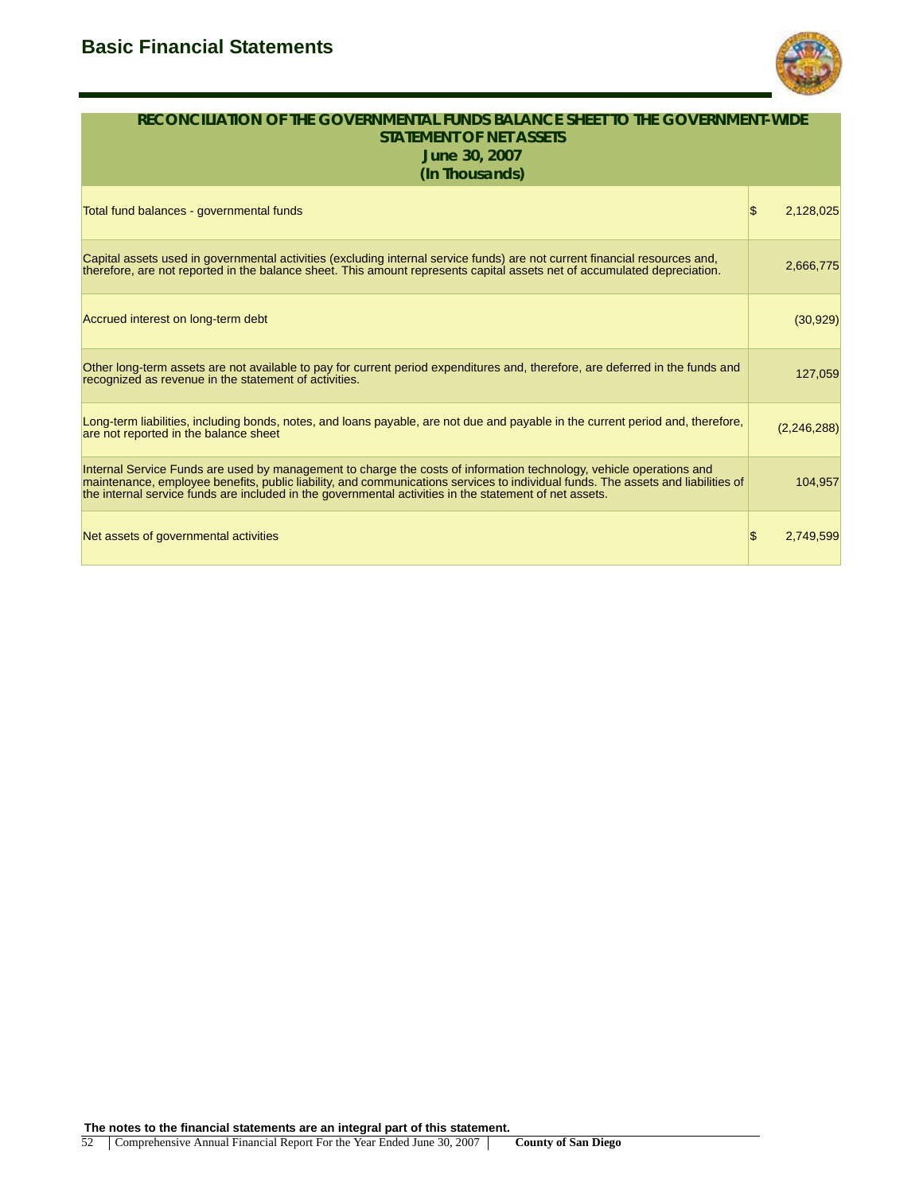

| RECONCILIATION OF THE GOVERNMENTAL FUNDS BALANCE SHEET TO THE GOVERNMENT-WIDE<br>STATEMENT OF NET ASSETS<br>June 30, 2007<br>(In Thousands)                                                                                                                                                                                                                       |     |               |
|-------------------------------------------------------------------------------------------------------------------------------------------------------------------------------------------------------------------------------------------------------------------------------------------------------------------------------------------------------------------|-----|---------------|
| Total fund balances - governmental funds                                                                                                                                                                                                                                                                                                                          | \$. | 2,128,025     |
| Capital assets used in governmental activities (excluding internal service funds) are not current financial resources and,<br>therefore, are not reported in the balance sheet. This amount represents capital assets net of accumulated depreciation.                                                                                                            |     | 2,666,775     |
| Accrued interest on long-term debt                                                                                                                                                                                                                                                                                                                                |     | (30, 929)     |
| Other long-term assets are not available to pay for current period expenditures and, therefore, are deferred in the funds and<br>recognized as revenue in the statement of activities.                                                                                                                                                                            |     | 127,059       |
| Long-term liabilities, including bonds, notes, and loans payable, are not due and payable in the current period and, therefore,<br>are not reported in the balance sheet                                                                                                                                                                                          |     | (2, 246, 288) |
| Internal Service Funds are used by management to charge the costs of information technology, vehicle operations and<br>maintenance, employee benefits, public liability, and communications services to individual funds. The assets and liabilities of<br>the internal service funds are included in the governmental activities in the statement of net assets. |     | 104,957       |
| Net assets of governmental activities                                                                                                                                                                                                                                                                                                                             | \$  | 2,749,599     |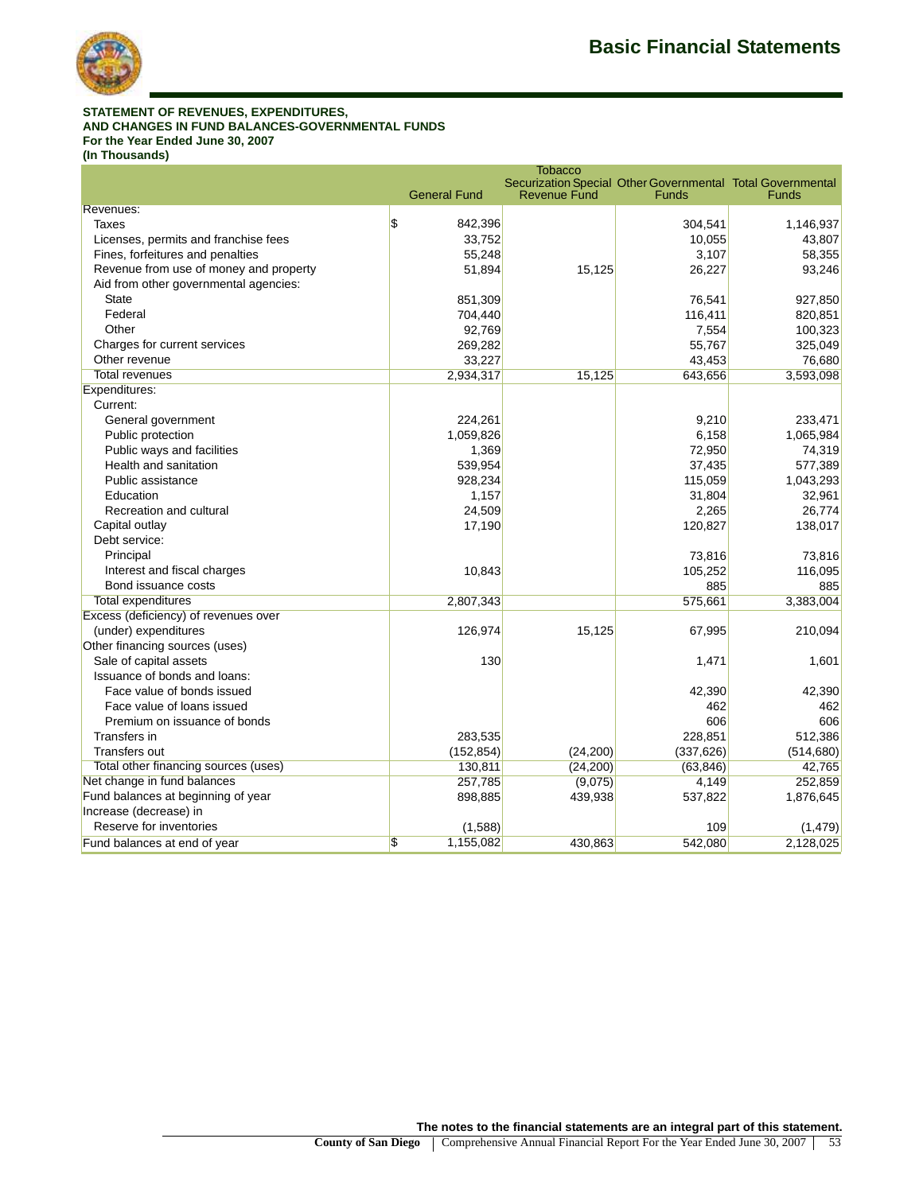

## **STATEMENT OF REVENUES, EXPENDITURES, AND CHANGES IN FUND BALANCES-GOVERNMENTAL FUNDS For the Year Ended June 30, 2007**

|                                        |                     | <b>Tobacco</b>      |                                                                            |            |
|----------------------------------------|---------------------|---------------------|----------------------------------------------------------------------------|------------|
|                                        | <b>General Fund</b> | <b>Revenue Fund</b> | Securization Special Other Governmental Total Governmental<br><b>Funds</b> | Funds      |
| Revenues:                              |                     |                     |                                                                            |            |
| Taxes                                  | \$<br>842,396       |                     | 304,541                                                                    | 1,146,937  |
| Licenses, permits and franchise fees   | 33,752              |                     | 10,055                                                                     | 43,807     |
| Fines, forfeitures and penalties       | 55,248              |                     | 3,107                                                                      | 58,355     |
| Revenue from use of money and property | 51,894              | 15,125              | 26,227                                                                     | 93,246     |
| Aid from other governmental agencies:  |                     |                     |                                                                            |            |
| <b>State</b>                           | 851,309             |                     | 76,541                                                                     | 927,850    |
| Federal                                | 704,440             |                     | 116,411                                                                    | 820,851    |
| Other                                  | 92,769              |                     | 7,554                                                                      | 100,323    |
| Charges for current services           | 269,282             |                     | 55,767                                                                     | 325,049    |
| Other revenue                          | 33,227              |                     | 43,453                                                                     | 76,680     |
| <b>Total revenues</b>                  | 2,934,317           | 15, 125             | 643,656                                                                    | 3,593,098  |
| Expenditures:                          |                     |                     |                                                                            |            |
| Current:                               |                     |                     |                                                                            |            |
| General government                     | 224,261             |                     | 9,210                                                                      | 233,471    |
| Public protection                      | 1,059,826           |                     | 6,158                                                                      | 1,065,984  |
| Public ways and facilities             | 1,369               |                     | 72,950                                                                     | 74,319     |
| Health and sanitation                  | 539,954             |                     | 37,435                                                                     | 577,389    |
| Public assistance                      | 928,234             |                     | 115,059                                                                    | 1,043,293  |
| Education                              | 1,157               |                     | 31,804                                                                     | 32,961     |
| Recreation and cultural                | 24,509              |                     | 2,265                                                                      | 26,774     |
| Capital outlay                         | 17,190              |                     | 120,827                                                                    | 138,017    |
| Debt service:                          |                     |                     |                                                                            |            |
| Principal                              |                     |                     | 73,816                                                                     | 73,816     |
| Interest and fiscal charges            | 10,843              |                     | 105,252                                                                    | 116,095    |
| Bond issuance costs                    |                     |                     | 885                                                                        | 885        |
| <b>Total expenditures</b>              | 2,807,343           |                     | 575,661                                                                    | 3,383,004  |
| Excess (deficiency) of revenues over   |                     |                     |                                                                            |            |
| (under) expenditures                   | 126,974             | 15,125              | 67,995                                                                     | 210,094    |
| Other financing sources (uses)         |                     |                     |                                                                            |            |
| Sale of capital assets                 | 130                 |                     | 1,471                                                                      | 1,601      |
| Issuance of bonds and loans:           |                     |                     |                                                                            |            |
| Face value of bonds issued             |                     |                     | 42,390                                                                     | 42,390     |
| Face value of loans issued             |                     |                     | 462                                                                        | 462        |
| Premium on issuance of bonds           |                     |                     | 606                                                                        | 606        |
| Transfers in                           | 283,535             |                     | 228,851                                                                    | 512,386    |
| <b>Transfers out</b>                   | (152, 854)          | (24, 200)           | (337, 626)                                                                 | (514, 680) |
| Total other financing sources (uses)   | 130,811             | (24,200)            | (63, 846)                                                                  | 42,765     |
| Net change in fund balances            | 257,785             | (9,075)             | 4,149                                                                      | 252,859    |
| Fund balances at beginning of year     | 898,885             | 439,938             | 537,822                                                                    | 1,876,645  |
| Increase (decrease) in                 |                     |                     |                                                                            |            |
| Reserve for inventories                | (1,588)             |                     | 109                                                                        | (1, 479)   |
| Fund balances at end of year           | \$<br>1,155,082     | 430,863             | 542,080                                                                    | 2,128,025  |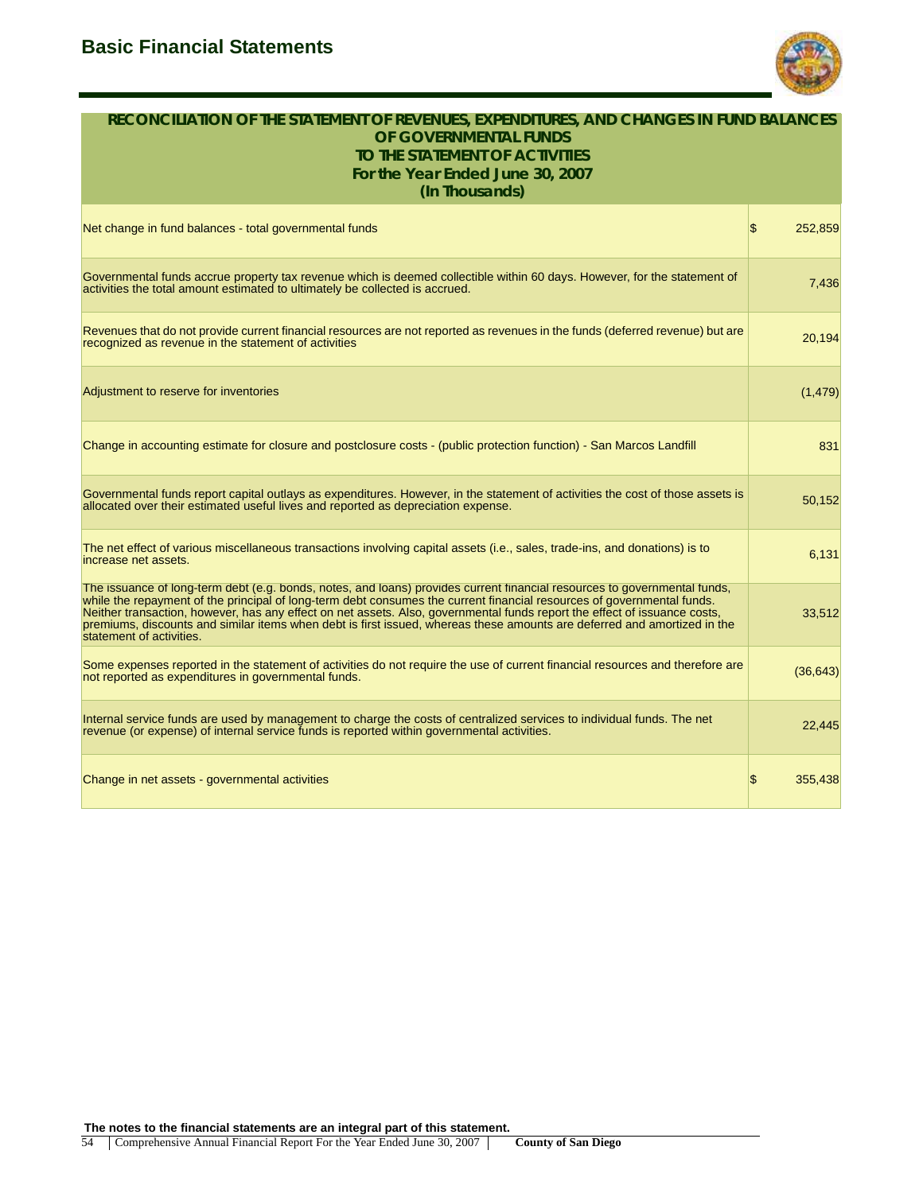

| RECONCILIATION OF THE STATEMENT OF REVENUES, EXPENDITURES, AND CHANGES IN FUND BALANCES<br>OF GOVERNMENTAL FUNDS<br>TO THE STATEMENT OF ACTIVITIES<br>For the Year Ended June 30, 2007<br>(In Thousands)                                                                                                                                                                                                                                                                                                                                 |                           |
|------------------------------------------------------------------------------------------------------------------------------------------------------------------------------------------------------------------------------------------------------------------------------------------------------------------------------------------------------------------------------------------------------------------------------------------------------------------------------------------------------------------------------------------|---------------------------|
| Net change in fund balances - total governmental funds                                                                                                                                                                                                                                                                                                                                                                                                                                                                                   | $\mathfrak{s}$<br>252,859 |
| Governmental funds accrue property tax revenue which is deemed collectible within 60 days. However, for the statement of<br>activities the total amount estimated to ultimately be collected is accrued.                                                                                                                                                                                                                                                                                                                                 | 7,436                     |
| Revenues that do not provide current financial resources are not reported as revenues in the funds (deferred revenue) but are<br>recognized as revenue in the statement of activities                                                                                                                                                                                                                                                                                                                                                    | 20,194                    |
| Adjustment to reserve for inventories                                                                                                                                                                                                                                                                                                                                                                                                                                                                                                    | (1, 479)                  |
| Change in accounting estimate for closure and postclosure costs - (public protection function) - San Marcos Landfill                                                                                                                                                                                                                                                                                                                                                                                                                     | 831                       |
| Governmental funds report capital outlays as expenditures. However, in the statement of activities the cost of those assets is<br>allocated over their estimated useful lives and reported as depreciation expense.                                                                                                                                                                                                                                                                                                                      | 50,152                    |
| The net effect of various miscellaneous transactions involving capital assets (i.e., sales, trade-ins, and donations) is to<br>increase net assets.                                                                                                                                                                                                                                                                                                                                                                                      | 6,131                     |
| The issuance of long-term debt (e.g. bonds, notes, and loans) provides current financial resources to governmental funds,<br>while the repayment of the principal of long-term debt consumes the current financial resources of governmental funds.<br>Neither transaction, however, has any effect on net assets. Also, governmental funds report the effect of issuance costs,<br>premiums, discounts and similar items when debt is first issued, whereas these amounts are deferred and amortized in the<br>statement of activities. | 33,512                    |
| Some expenses reported in the statement of activities do not require the use of current financial resources and therefore are<br>not reported as expenditures in governmental funds.                                                                                                                                                                                                                                                                                                                                                     | (36, 643)                 |
| Internal service funds are used by management to charge the costs of centralized services to individual funds. The net<br>revenue (or expense) of internal service funds is reported within governmental activities.                                                                                                                                                                                                                                                                                                                     | 22,445                    |
| Change in net assets - governmental activities                                                                                                                                                                                                                                                                                                                                                                                                                                                                                           | \$<br>355,438             |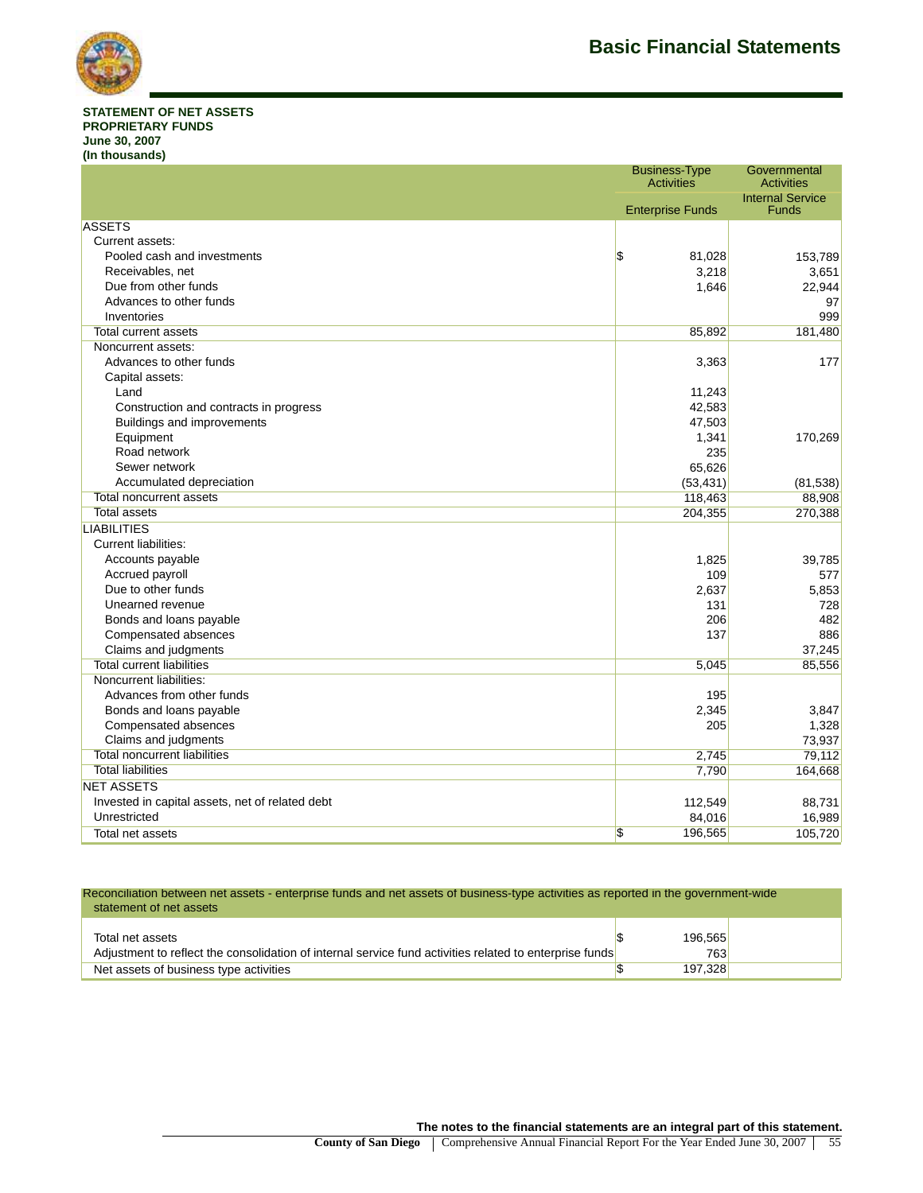

#### **STATEMENT OF NET ASSETS PROPRIETARY FUNDS June 30, 2007 (In thousands)**

|                                                 | <b>Business-Type</b><br><b>Activities</b> | Governmental<br><b>Activities</b>       |
|-------------------------------------------------|-------------------------------------------|-----------------------------------------|
|                                                 | <b>Enterprise Funds</b>                   | <b>Internal Service</b><br><b>Funds</b> |
| <b>ASSETS</b>                                   |                                           |                                         |
| Current assets:                                 |                                           |                                         |
| Pooled cash and investments                     | \$<br>81,028                              | 153,789                                 |
| Receivables, net                                | 3,218                                     | 3,651                                   |
| Due from other funds                            | 1,646                                     | 22,944                                  |
| Advances to other funds                         |                                           | 97                                      |
| Inventories                                     |                                           | 999                                     |
| Total current assets                            | 85,892                                    | 181,480                                 |
| Noncurrent assets:                              |                                           |                                         |
| Advances to other funds                         | 3,363                                     | 177                                     |
| Capital assets:                                 |                                           |                                         |
| Land                                            | 11,243                                    |                                         |
| Construction and contracts in progress          | 42,583                                    |                                         |
| Buildings and improvements                      | 47,503                                    |                                         |
| Equipment                                       | 1,341                                     | 170,269                                 |
| Road network                                    | 235                                       |                                         |
| Sewer network                                   | 65,626                                    |                                         |
| Accumulated depreciation                        | (53, 431)                                 | (81, 538)                               |
| <b>Total noncurrent assets</b>                  | 118,463                                   | 88,908                                  |
| Total assets                                    | 204,355                                   | 270,388                                 |
| <b>LIABILITIES</b>                              |                                           |                                         |
| <b>Current liabilities:</b>                     |                                           |                                         |
| Accounts payable                                | 1,825                                     | 39,785                                  |
| Accrued payroll                                 | 109                                       | 577                                     |
| Due to other funds                              | 2,637                                     | 5,853                                   |
| Unearned revenue                                | 131                                       | 728                                     |
| Bonds and loans payable                         | 206                                       | 482                                     |
| Compensated absences                            | 137                                       | 886                                     |
| Claims and judgments                            |                                           | 37,245                                  |
| <b>Total current liabilities</b>                | 5,045                                     | 85,556                                  |
| Noncurrent liabilities:                         |                                           |                                         |
| Advances from other funds                       | 195                                       |                                         |
| Bonds and loans payable                         | 2,345                                     | 3,847                                   |
| Compensated absences                            | 205                                       | 1,328                                   |
| Claims and judgments                            |                                           | 73,937                                  |
| <b>Total noncurrent liabilities</b>             | 2,745                                     | 79,112                                  |
| <b>Total liabilities</b>                        | 7,790                                     | 164,668                                 |
| <b>NET ASSETS</b>                               |                                           |                                         |
| Invested in capital assets, net of related debt | 112,549                                   | 88,731                                  |
| Unrestricted                                    | 84,016                                    | 16,989                                  |
| Total net assets                                | \$<br>196,565                             | 105,720                                 |

Reconciliation between net assets - enterprise funds and net assets of business-type activities as reported in the government-wide statement of net assets

| Total net assets                                                                                        | 196,565 |  |
|---------------------------------------------------------------------------------------------------------|---------|--|
| Adjustment to reflect the consolidation of internal service fund activities related to enterprise funds | 763     |  |
| Net assets of business type activities                                                                  | 197.328 |  |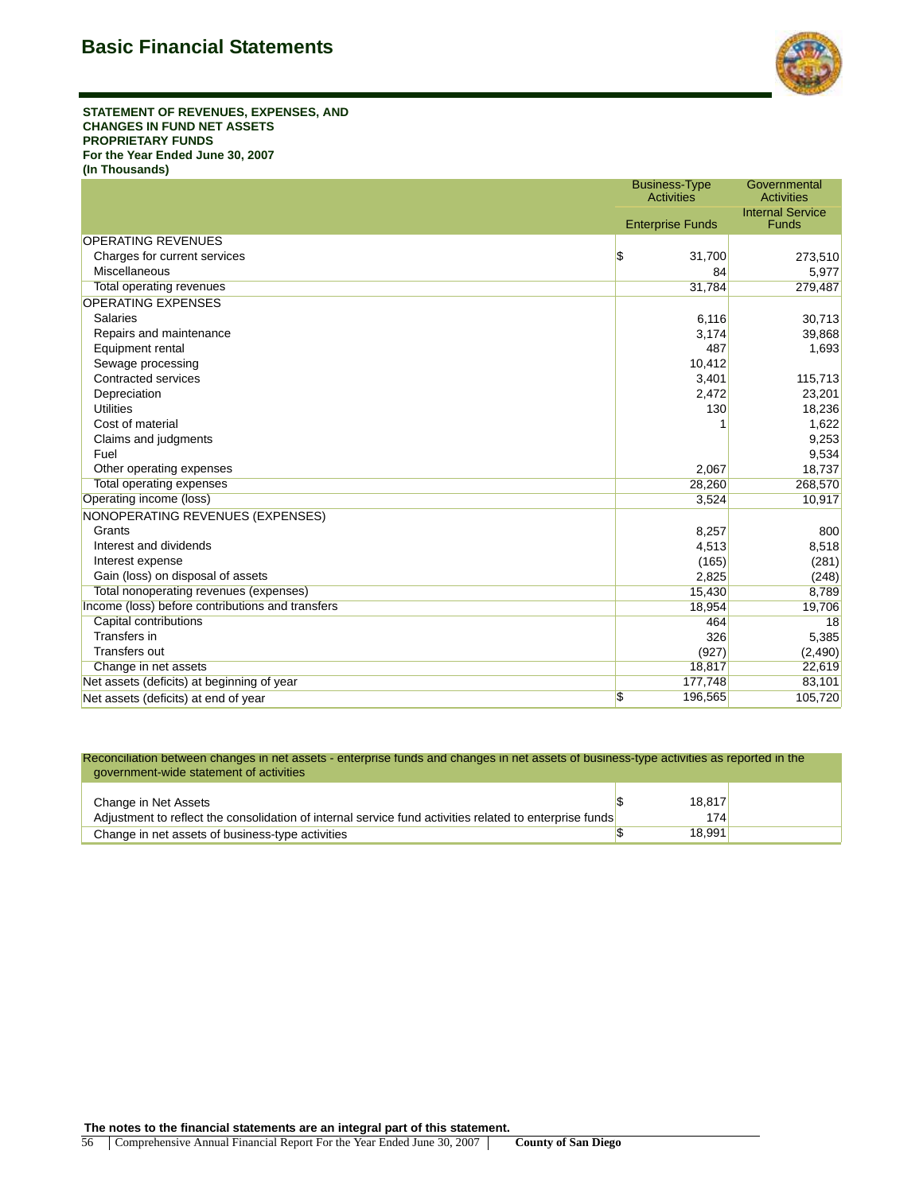

**STATEMENT OF REVENUES, EXPENSES, AND CHANGES IN FUND NET ASSETS PROPRIETARY FUNDS For the Year Ended June 30, 2007 (In Thousands)**

|                                                  | <b>Business-Type</b><br><b>Activities</b> | Governmental<br><b>Activities</b>       |
|--------------------------------------------------|-------------------------------------------|-----------------------------------------|
|                                                  | <b>Enterprise Funds</b>                   | <b>Internal Service</b><br><b>Funds</b> |
| <b>OPERATING REVENUES</b>                        |                                           |                                         |
| Charges for current services                     | \$<br>31,700                              | 273,510                                 |
| Miscellaneous                                    | 84                                        | 5,977                                   |
| <b>Total operating revenues</b>                  | 31,784                                    | 279,487                                 |
| <b>OPERATING EXPENSES</b>                        |                                           |                                         |
| <b>Salaries</b>                                  | 6,116                                     | 30,713                                  |
| Repairs and maintenance                          | 3,174                                     | 39,868                                  |
| Equipment rental                                 | 487                                       | 1,693                                   |
| Sewage processing                                | 10,412                                    |                                         |
| <b>Contracted services</b>                       | 3,401                                     | 115,713                                 |
| Depreciation                                     | 2,472                                     | 23,201                                  |
| Utilities                                        | 130                                       | 18,236                                  |
| Cost of material                                 |                                           | 1,622                                   |
| Claims and judgments                             |                                           | 9,253                                   |
| Fuel                                             |                                           | 9,534                                   |
| Other operating expenses                         | 2,067                                     | 18,737                                  |
| <b>Total operating expenses</b>                  | 28,260                                    | 268,570                                 |
| Operating income (loss)                          | 3,524                                     | 10,917                                  |
| NONOPERATING REVENUES (EXPENSES)                 |                                           |                                         |
| Grants                                           | 8,257                                     | 800                                     |
| Interest and dividends                           | 4,513                                     | 8,518                                   |
| Interest expense                                 | (165)                                     | (281)                                   |
| Gain (loss) on disposal of assets                | 2,825                                     | (248)                                   |
| Total nonoperating revenues (expenses)           | 15,430                                    | 8,789                                   |
| Income (loss) before contributions and transfers | 18,954                                    | 19,706                                  |
| Capital contributions                            | 464                                       | 18                                      |
| Transfers in                                     | 326                                       | 5,385                                   |
| Transfers out                                    | (927)                                     | (2, 490)                                |
| Change in net assets                             | 18,817                                    | 22,619                                  |
| Net assets (deficits) at beginning of year       | 177,748                                   | 83,101                                  |
| Net assets (deficits) at end of year             | $\boldsymbol{\mathsf{s}}$<br>196,565      | 105,720                                 |

Reconciliation between changes in net assets - enterprise funds and changes in net assets of business-type activities as reported in the government-wide statement of activities

| Change in Net Assets                                                                                    | 18.817 |  |
|---------------------------------------------------------------------------------------------------------|--------|--|
| Adjustment to reflect the consolidation of internal service fund activities related to enterprise funds | 174    |  |
| Change in net assets of business-type activities                                                        | 18.991 |  |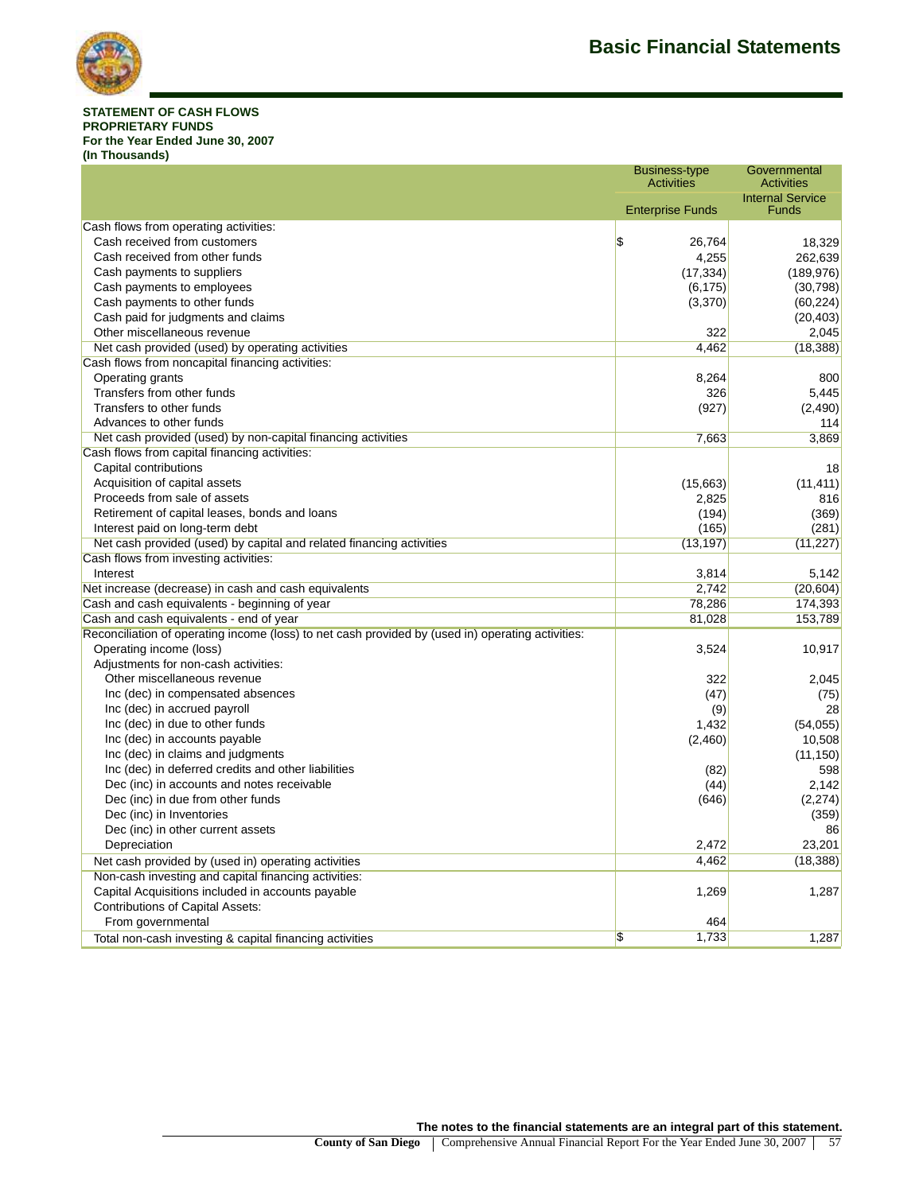

#### **STATEMENT OF CASH FLOWS PROPRIETARY FUNDS For the Year Ended June 30, 2007 (In Thousands)**

|                                                                                                   | <b>Business-type</b><br><b>Activities</b> | Governmental<br><b>Activities</b>       |
|---------------------------------------------------------------------------------------------------|-------------------------------------------|-----------------------------------------|
|                                                                                                   | <b>Enterprise Funds</b>                   | <b>Internal Service</b><br><b>Funds</b> |
| Cash flows from operating activities:                                                             |                                           |                                         |
| Cash received from customers                                                                      | \$<br>26,764                              | 18,329                                  |
| Cash received from other funds                                                                    | 4,255                                     | 262,639                                 |
| Cash payments to suppliers                                                                        | (17, 334)                                 | (189, 976)                              |
| Cash payments to employees                                                                        | (6, 175)                                  | (30, 798)                               |
| Cash payments to other funds                                                                      | (3,370)                                   | (60, 224)                               |
| Cash paid for judgments and claims                                                                |                                           | (20, 403)                               |
| Other miscellaneous revenue                                                                       | 322                                       | 2,045                                   |
| Net cash provided (used) by operating activities                                                  | 4,462                                     | (18, 388)                               |
| Cash flows from noncapital financing activities:                                                  |                                           |                                         |
| Operating grants                                                                                  | 8,264                                     | 800                                     |
| Transfers from other funds                                                                        | 326                                       | 5,445                                   |
| Transfers to other funds                                                                          | (927)                                     | (2,490)                                 |
| Advances to other funds                                                                           |                                           | 114                                     |
| Net cash provided (used) by non-capital financing activities                                      | 7,663                                     | 3,869                                   |
| Cash flows from capital financing activities:                                                     |                                           |                                         |
| Capital contributions                                                                             |                                           | 18                                      |
| Acquisition of capital assets                                                                     | (15,663)                                  | (11, 411)                               |
| Proceeds from sale of assets                                                                      | 2,825                                     | 816                                     |
| Retirement of capital leases, bonds and loans                                                     | (194)                                     | (369)                                   |
| Interest paid on long-term debt                                                                   | (165)                                     | (281)                                   |
| Net cash provided (used) by capital and related financing activities                              | (13, 197)                                 | (11, 227)                               |
| Cash flows from investing activities:                                                             |                                           |                                         |
| Interest                                                                                          | 3,814                                     | 5,142                                   |
| Net increase (decrease) in cash and cash equivalents                                              | 2,742                                     | (20, 604)                               |
| Cash and cash equivalents - beginning of year                                                     | 78.286                                    | 174.393                                 |
| Cash and cash equivalents - end of year                                                           | 81,028                                    | 153,789                                 |
| Reconciliation of operating income (loss) to net cash provided by (used in) operating activities: |                                           |                                         |
| Operating income (loss)                                                                           | 3.524                                     |                                         |
| Adjustments for non-cash activities:                                                              |                                           | 10,917                                  |
| Other miscellaneous revenue                                                                       | 322                                       | 2,045                                   |
| Inc (dec) in compensated absences                                                                 |                                           |                                         |
|                                                                                                   | (47)                                      | (75)<br>28                              |
| Inc (dec) in accrued payroll<br>Inc (dec) in due to other funds                                   | (9)                                       |                                         |
|                                                                                                   | 1,432                                     | (54, 055)                               |
| Inc (dec) in accounts payable                                                                     | (2,460)                                   | 10,508                                  |
| Inc (dec) in claims and judgments                                                                 |                                           | (11, 150)                               |
| Inc (dec) in deferred credits and other liabilities                                               | (82)                                      | 598                                     |
| Dec (inc) in accounts and notes receivable                                                        | (44)                                      | 2.142                                   |
| Dec (inc) in due from other funds                                                                 | (646)                                     | (2,274)                                 |
| Dec (inc) in Inventories                                                                          |                                           | (359)                                   |
| Dec (inc) in other current assets                                                                 |                                           | 86                                      |
| Depreciation                                                                                      | 2,472                                     | 23,201                                  |
| Net cash provided by (used in) operating activities                                               | 4,462                                     | (18, 388)                               |
| Non-cash investing and capital financing activities:                                              |                                           |                                         |
| Capital Acquisitions included in accounts payable                                                 | 1,269                                     | 1,287                                   |
| <b>Contributions of Capital Assets:</b>                                                           |                                           |                                         |
| From governmental                                                                                 | 464                                       |                                         |
| Total non-cash investing & capital financing activities                                           | \$<br>1.733                               | 1,287                                   |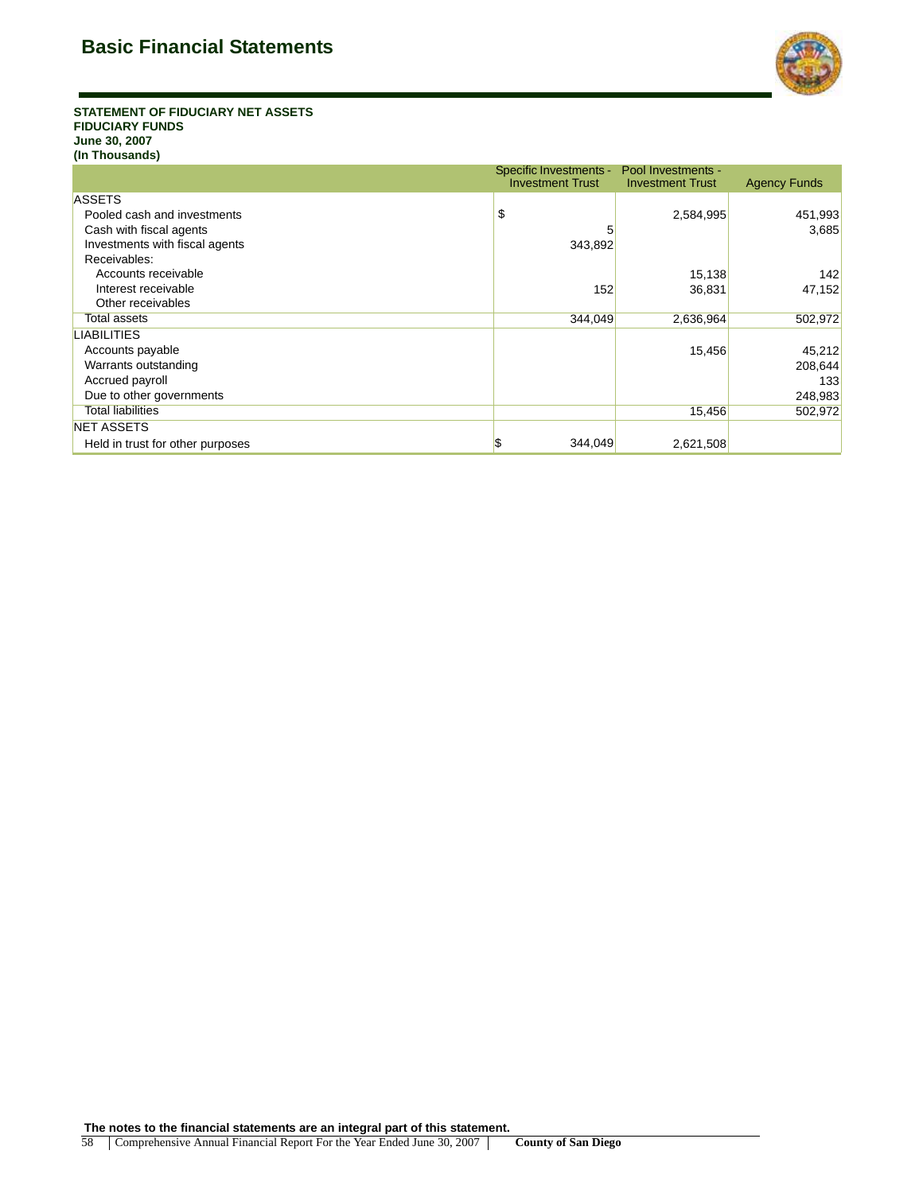

**STATEMENT OF FIDUCIARY NET ASSETS FIDUCIARY FUNDS June 30, 2007 (In Thousands)**

|                                  | Specific Investments -<br><b>Investment Trust</b> | Pool Investments -<br><b>Investment Trust</b> | <b>Agency Funds</b> |
|----------------------------------|---------------------------------------------------|-----------------------------------------------|---------------------|
| <b>ASSETS</b>                    |                                                   |                                               |                     |
| Pooled cash and investments      | \$                                                | 2,584,995                                     | 451,993             |
| Cash with fiscal agents          |                                                   |                                               | 3,685               |
| Investments with fiscal agents   | 343,892                                           |                                               |                     |
| Receivables:                     |                                                   |                                               |                     |
| Accounts receivable              |                                                   | 15,138                                        | 142                 |
| Interest receivable              | 152                                               | 36,831                                        | 47,152              |
| Other receivables                |                                                   |                                               |                     |
| Total assets                     | 344,049                                           | 2,636,964                                     | 502,972             |
| <b>LIABILITIES</b>               |                                                   |                                               |                     |
| Accounts payable                 |                                                   | 15,456                                        | 45,212              |
| Warrants outstanding             |                                                   |                                               | 208,644             |
| Accrued payroll                  |                                                   |                                               | 133                 |
| Due to other governments         |                                                   |                                               | 248,983             |
| <b>Total liabilities</b>         |                                                   | 15,456                                        | 502,972             |
| <b>NET ASSETS</b>                |                                                   |                                               |                     |
| Held in trust for other purposes | 344,049<br>Ъ.                                     | 2,621,508                                     |                     |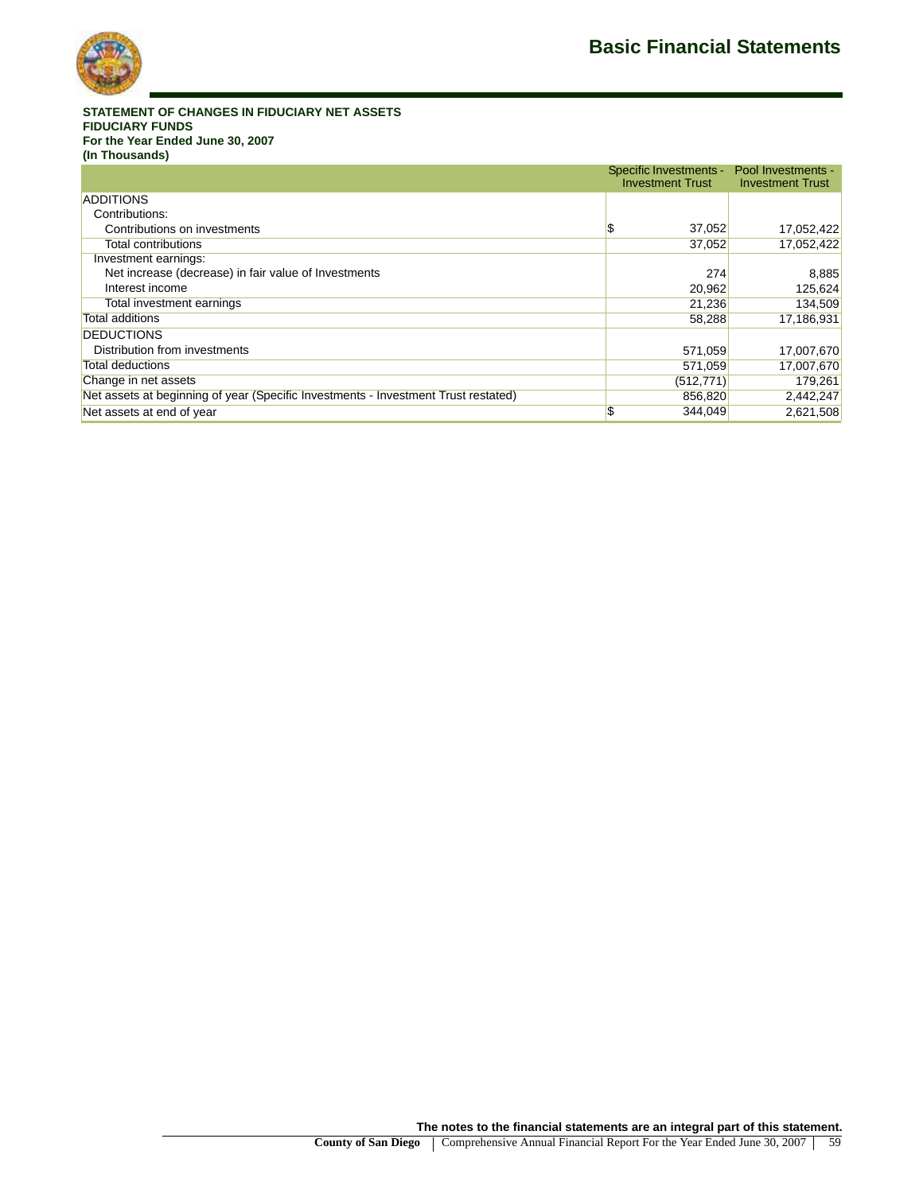

### **STATEMENT OF CHANGES IN FIDUCIARY NET ASSETS FIDUCIARY FUNDS For the Year Ended June 30, 2007 (In Thousands)**

|                                                                                    | Specific Investments -<br><b>Investment Trust</b> | Pool Investments -<br><b>Investment Trust</b> |
|------------------------------------------------------------------------------------|---------------------------------------------------|-----------------------------------------------|
| <b>ADDITIONS</b>                                                                   |                                                   |                                               |
| Contributions:                                                                     |                                                   |                                               |
| Contributions on investments                                                       | \$<br>37,052                                      | 17,052,422                                    |
| Total contributions                                                                | 37,052                                            | 17,052,422                                    |
| Investment earnings:                                                               |                                                   |                                               |
| Net increase (decrease) in fair value of Investments                               | 274                                               | 8,885                                         |
| Interest income                                                                    | 20,962                                            | 125,624                                       |
| Total investment earnings                                                          | 21,236                                            | 134,509                                       |
| <b>Total additions</b>                                                             | 58,288                                            | 17,186,931                                    |
| <b>DEDUCTIONS</b>                                                                  |                                                   |                                               |
| Distribution from investments                                                      | 571,059                                           | 17,007,670                                    |
| Total deductions                                                                   | 571,059                                           | 17,007,670                                    |
| Change in net assets                                                               | (512, 771)                                        | 179,261                                       |
| Net assets at beginning of year (Specific Investments - Investment Trust restated) | 856,820                                           | 2,442,247                                     |
| Net assets at end of year                                                          | \$<br>344,049                                     | 2,621,508                                     |